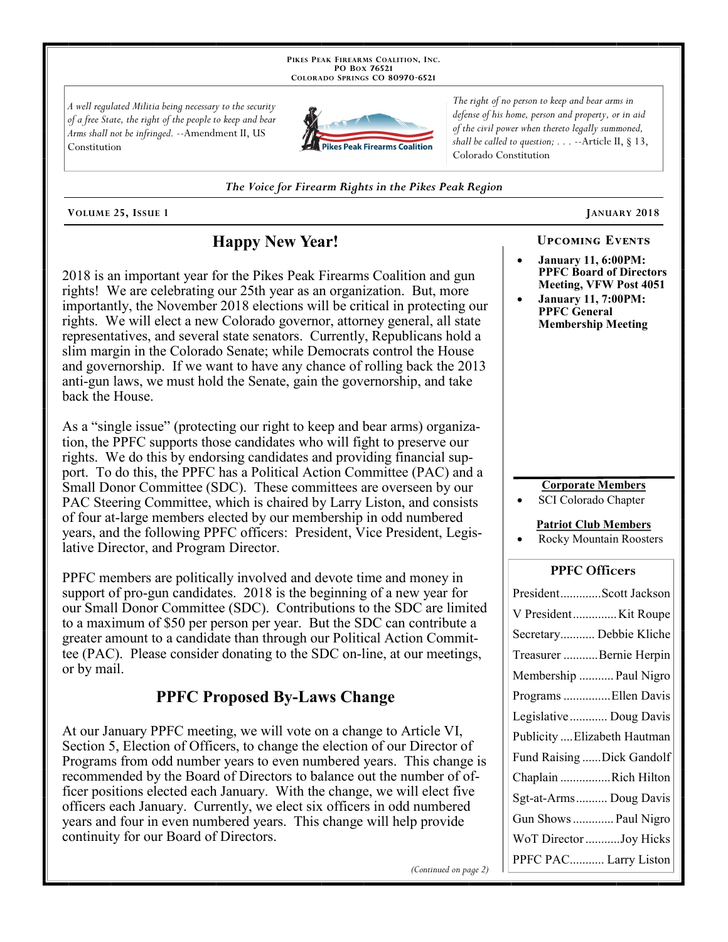PIKES PEAK FIREARMS COALITION, INC. PO Box 76521 COLORADO SPRINGS CO 80970-6521

A well regulated Militia being necessary to the security of a free State, the right of the people to keep and bear Arms shall not be infringed. --Amendment II, US Constitution



The right of no person to keep and bear arms in defense of his home, person and property, or in aid of the civil power when thereto legally summoned, shall be called to question;  $\ldots$  --Article II, § 13, Colorado Constitution

The Voice for Firearm Rights in the Pikes Peak Region

VOLUME 25, ISSUE 1

# **Happy New Year!**

2018 is an important year for the Pikes Peak Firearms Coalition and gun rights! We are celebrating our 25th year as an organization. But, more importantly, the November 2018 elections will be critical in protecting our rights. We will elect a new Colorado governor, attorney general, all state representatives, and several state senators. Currently, Republicans hold a slim margin in the Colorado Senate; while Democrats control the House and governorship. If we want to have any chance of rolling back the 2013 anti-gun laws, we must hold the Senate, gain the governorship, and take back the House.

As a "single issue" (protecting our right to keep and bear arms) organization, the PPFC supports those candidates who will fight to preserve our rights. We do this by endorsing candidates and providing financial support. To do this, the PPFC has a Political Action Committee (PAC) and a Small Donor Committee (SDC). These committees are overseen by our PAC Steering Committee, which is chaired by Larry Liston, and consists of four at-large members elected by our membership in odd numbered years, and the following PPFC officers: President, Vice President, Legislative Director, and Program Director.

PPFC members are politically involved and devote time and money in support of pro-gun candidates. 2018 is the beginning of a new year for our Small Donor Committee (SDC). Contributions to the SDC are limited to a maximum of \$50 per person per year. But the SDC can contribute a greater amount to a candidate than through our Political Action Committee (PAC). Please consider donating to the SDC on-line, at our meetings, or by mail.

## **PPFC Proposed By-Laws Change**

At our January PPFC meeting, we will vote on a change to Article VI, Section 5, Election of Officers, to change the election of our Director of Programs from odd number years to even numbered years. This change is recommended by the Board of Directors to balance out the number of officer positions elected each January. With the change, we will elect five officers each January. Currently, we elect six officers in odd numbered years and four in even numbered years. This change will help provide continuity for our Board of Directors.

(Continued on page 2)

**UPCOMING EVENTS** 

JANUARY 2018

- **January 11, 6:00PM: PPFC Board of Directors** Meeting, VFW Post 4051
- **January 11, 7:00PM: PPFC General Membership Meeting**

### **Corporate Members**

SCI Colorado Chapter

### **Patriot Club Members**

**Rocky Mountain Roosters** 

### **PPFC Officers**

| PresidentScott Jackson       |
|------------------------------|
| V President Kit Roupe        |
| Secretary Debbie Kliche      |
| Treasurer Bernie Herpin      |
| Membership  Paul Nigro       |
| Programs Ellen Davis         |
| Legislative  Doug Davis      |
| Publicity  Elizabeth Hautman |
| Fund Raising Dick Gandolf    |
| Chaplain Rich Hilton         |
| Sgt-at-Arms Doug Davis       |
| Gun Shows  Paul Nigro        |
| WoT Director Joy Hicks       |
| PPFC PAC Larry Liston        |